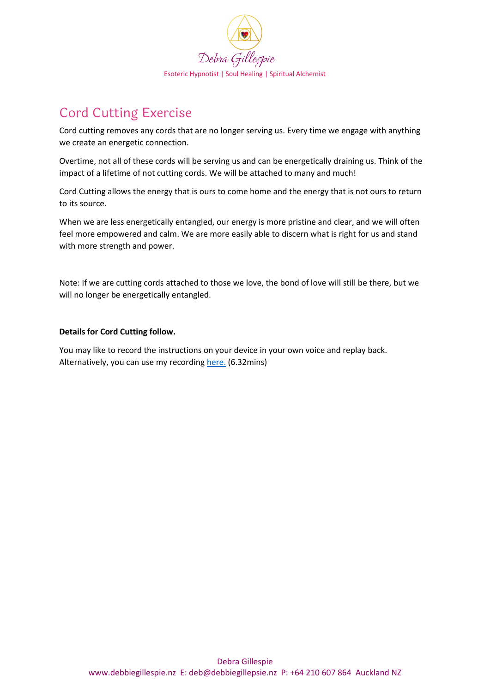

## Cord Cutting Exercise

Cord cutting removes any cords that are no longer serving us. Every time we engage with anything we create an energetic connection.

Overtime, not all of these cords will be serving us and can be energetically draining us. Think of the impact of a lifetime of not cutting cords. We will be attached to many and much!

Cord Cutting allows the energy that is ours to come home and the energy that is not ours to return to its source.

When we are less energetically entangled, our energy is more pristine and clear, and we will often feel more empowered and calm. We are more easily able to discern what is right for us and stand with more strength and power.

Note: If we are cutting cords attached to those we love, the bond of love will still be there, but we will no longer be energetically entangled.

## **Details for Cord Cutting follow.**

You may like to record the instructions on your device in your own voice and replay back. Alternatively, you can use my recording [here.](https://soundcloud.com/debra-gillespie-spiritual-alchemist/cord-cutting-m4a) (6.32mins)